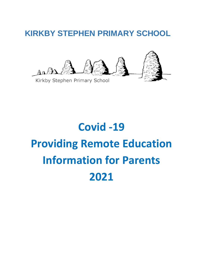# **KIRKBY STEPHEN PRIMARY SCHOOL**



# **Covid -19 Providing Remote Education Information for Parents 2021**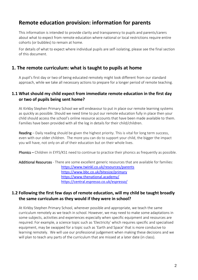# **Remote education provision: information for parents**

This information is intended to provide clarity and transparency to pupils and parents/carers about what to expect from remote education where national or local restrictions require entire cohorts (or bubbles) to remain at home.

For details of what to expect where individual pupils are self-isolating, please see the final section of this document.

## **1. The remote curriculum: what is taught to pupils at home**

A pupil's first day or two of being educated remotely might look different from our standard approach, while we take all necessary actions to prepare for a longer period of remote teaching.

#### **1.1 What should my child expect from immediate remote education in the first day or two of pupils being sent home?**

At Kirkby Stephen Primary School we will endeavour to put in place our remote learning systems as quickly as possible. Should we need time to put our remote education fully in place then your child should access the school's online resource accounts that have been made available to them. Families have been provided with all the log in details for their child/children.

Reading – Daily reading should be given the highest priority. This is vital for long term success, even with our older children. The more you can do to support your child, the bigger the impact you will have, not only on all of their education but on their whole lives.

Phonics – Children in EYFS/KS1 need to continue to practice their phonics as frequently as possible.

#### Additional Resources - There are some excellent generic resources that are available for families: <https://www.twinkl.co.uk/resources/parents> <https://www.bbc.co.uk/bitesize/primary> <https://www.thenational.academy/> <https://central.espresso.co.uk/espresso/>

#### **1.2 Following the first few days of remote education, will my child be taught broadly the same curriculum as they would if they were in school?**

At Kirkby Stephen Primary School, wherever possible and appropriate, we teach the same curriculum remotely as we teach in school. However, we may need to make some adaptations in some subjects, activities and experiences especially when specific equipment and resources are required. For example, a science topic such as 'Electricity' which requires specific and specialised equipment, may be swapped for a topic such as 'Earth and Space' that is more conducive to learning remotely. We will use our professional judgement when making these decisions and we will plan to teach any parts of the curriculum that are missed at a later date (in class).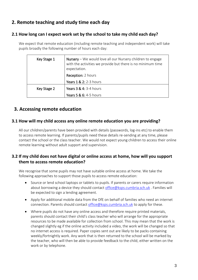# **2. Remote teaching and study time each day**

#### **2.1 How long can I expect work set by the school to take my child each day?**

We expect that remote education (including remote teaching and independent work) will take pupils broadly the following number of hours each day:

| Key Stage 1 | <b>Nursery</b> – We would love all our Nursery children to engage<br>with the activities we provide but there is no minimum time<br>expectation. |
|-------------|--------------------------------------------------------------------------------------------------------------------------------------------------|
|             | Reception: 2 hours                                                                                                                               |
|             | <b>Years 1 &amp; 2: 2-3 hours</b>                                                                                                                |
| Key Stage 2 | <b>Years 3 &amp; 4: 3-4 hours</b>                                                                                                                |
|             | <b>Years 5 &amp; 6: 4-5 hours</b>                                                                                                                |

# **3. Accessing remote education**

#### **3.1 How will my child access any online remote education you are providing?**

All our children/parents have been provided with details (passwords, log-ins etc) to enable them to access remote learning. If parents/pupils need these details re-sending at any time, please contact the school or the class teacher. We would not expect young children to access their online remote learning without adult support and supervision.

#### **3.2 If my child does not have digital or online access at home, how will you support them to access remote education?**

We recognise that some pupils may not have suitable online access at home. We take the following approaches to support those pupils to access remote education:

- Source or lend school laptops or tablets to pupils. If parents or carers require information about borrowing a device they should contact [office@ksps.cumbria.sch.uk](mailto:office@ksps.cumbria.sch.uk). Families will be expected to sign a lending agreement.
- Apply for additional mobile data from the DfE on behalf of families who need an internet connection. Parents should contact [office@ksps.cumbria.sch.uk](mailto:office@ksps.cumbria.sch.uk) to apply for these.
- Where pupils do not have any online access and therefore require printed materials, parents should contact their child's class teacher who will arrange for the appropriate resources to be made available for collection from school. This may mean that the work is changed slightly eg if the online activity included a video, the work will be changed so that no internet access is required. Paper copies sent out are likely to be packs containing weekly/fortnightly work. Any work that is then returned to the school will be marked by the teacher, who will then be able to provide feedback to the child, either written on the work or by telephone.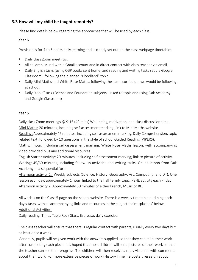#### **3.3 How will my child be taught remotely?**

Please find details below regarding the approaches that will be used by each class:

#### Year 6

Provision is for 4 to 5 hours daily learning and is clearly set out on the class webpage timetable:

- Daily class Zoom meetings.
- All children issued with a Gmail account and in direct contact with class teacher via email.
- Daily English tasks (using CGP books sent home, and reading and writing tasks set via Google Classroom), following the planned "Floodland" topic.
- Daily Mini Maths and White Rose Maths, following the same curriculum we would be following at school.
- Daily "topic" task (Science and Foundation subjects, linked to topic and using Oak Academy and Google Classroom)

#### Year 5

Daily class Zoom meetings  $\omega$  9:15 (40 mins) Well-being, motivation, and class discussion time. Mini Maths: 20 minutes, including self-assessment marking; link to Mini Maths website.

Reading: Approximately 45 minutes, including self-assessment marking. Daily Comprehension, topic related text, followed by 10 questions in the style of school Guided Reading (VIPERS).

Maths: I hour, including self-assessment marking. White Rose Maths lesson, with accompanying video provided plus any additional resources.

English Starter Activity: 20 minutes, including self-assessment marking; link to picture of activity. Writing: 45/60 minutes, including follow up activities and writing tasks. Online lesson from Oak Academy in a sequential form.

Afternoon activity 1: Weekly subjects (Science, History, Geography, Art, Computing, and DT). One lesson each day, approximately 1 hour, linked to the half termly topic. PSHE activity each Friday. Afternoon activity 2: Approximately 30 minutes of either French, Music or RE.

All work is on the Class 5 page on the school website. There is a weekly timetable outlining each day's tasks, with all accompanying links and resources in the subject 'paint splashes' below.

Additional Activities:

Daily reading, Times Table Rock Stars, Espresso, daily exercise.

The class teacher will ensure that there is regular contact with parents, usually every two days but at least once a week.

Generally, pupils will be given work with the answers supplied, so that they can mark their work after completing each piece. It is hoped that most children will send pictures of their work so that the teacher can see their progress. The children will then receive a reply via email with comments about their work. For more extensive pieces of work (History Timeline poster, research about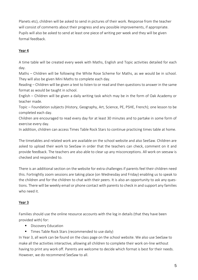Planets etc), children will be asked to send in pictures of their work. Response from the teacher will consist of comments about their progress and any possible improvements, if appropriate. Pupils will also be asked to send at least one piece of writing per week and they will be given formal feedback.

#### Year 4

A time table will be created every week with Maths, English and Topic activities detailed for each day.

Maths – Children will be following the White Rose Scheme for Maths, as we would be in school. They will also be given Mini Maths to complete each day.

Reading – Children will be given a text to listen to or read and then questions to answer in the same format as would be taught in school.

English – Children will be given a daily writing task which may be in the form of Oak Academy or teacher made.

Topic – Foundation subjects (History, Geography, Art, Science, PE, PSHE, French); one lesson to be completed each day.

Children are encouraged to read every day for at least 30 minutes and to partake in some form of exercise every day.

In addition, children can access Times Table Rock Stars to continue practicing times table at home.

The timetables and related work are available on the school website and also SeeSaw. Children are asked to upload their work to SeeSaw in order that the teachers can check, comment on it and provide feedback. The teachers are also able to clear up any misconceptions. All work on seesaw is checked and responded to.

There is an additional section on the website for extra challenges if parents feel their children need this. Fortnightly zoom sessions are taking place (on Wednesday and Friday) enabling us to speak to the children and for the children to chat with their peers. It is also an opportunity to ask any questions. There will be weekly email or phone contact with parents to check in and support any families who need it.

#### Year 3

Families should use the online resource accounts with the log in details (that they have been provided with) for:

- Discovery Education
- Times Table Rock Stars (recommended to use daily)

In Year 3, all work can be found on the class page on the school website. We also use SeeSaw to make all the activities interactive, allowing all children to complete their work on-line without having to print any work off. Parents are welcome to decide which format is best for their needs. However, we do recommend SeeSaw to all.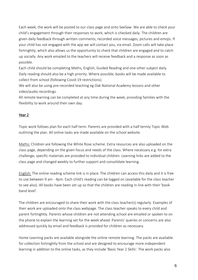Each week, the work will be posted to our class page and onto SeeSaw. We are able to check your child's engagement through their responses to work, which is checked daily. The children are given daily feedback through written comments, recorded voice messages, pictures and emojis. If your child has not engaged with the app we will contact you, via email. Zoom calls will take place fortnightly, which also allows us the opportunity to check that children are engaged and to catch up socially. Any work emailed to the teachers will receive feedback and a response as soon as possible.

Each child should be completing Maths, English, Guided Reading and one other subject daily. Daily reading should also be a high priority. Where possible, books will be made available to collect from school (following Covid-19 restrictions).

We will also be using pre-recorded teaching eg Oak National Academy lessons and other video/audio recordings.

All remote learning can be completed at any time during the week, providing families with the flexibility to work around their own day.

#### Year 2

Topic work follows plan for each half term. Parents are provided with a half termly Topic Web outlining the plan. All online tasks are made available on the school website.

Maths: Children are following the White Rose scheme. Extra resources are also uploaded on the class page, depending on the given focus and needs of the class. Where necessary e.g. for extra challenge, specific materials are provided to individual children. Learning links are added to the class page and changed weekly to further support and consolidate learning.

English: The online reading scheme link is in place. The children can access this daily and it is free to use between 9 am - 4pm. Each child's reading can be logged on (available for the class teacher to see also). All books have been set up so that the children are reading in line with their 'book band level'.

The children are encouraged to share their work with the class teacher(s) regularly. Examples of their work are uploaded onto the class webpage. The class teacher speaks to every child and parent fortnightly. Parents whose children are not attending school are emailed or spoken to on the phone to explain the learning set for the week ahead. Parents' queries or concerns are also addressed quickly by email and feedback is provided for children as necessary.

Home Learning packs are available alongside the online remote learning. The packs are available for collection fortnightly from the school and are designed to encourage more independent learning in addition to the online tasks, as they include 'Basic Year 2 Skills'. The work packs also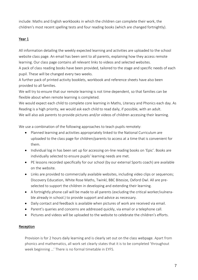include: Maths and English workbooks in which the children can complete their work, the children's most recent spelling tests and four reading books (which are changed fortnightly).

#### Year 1

All information detailing the weekly expected learning and activities are uploaded to the school website class page. An email has been sent to all parents, explaining how they access remote learning. Our class page contains all relevant links to videos and selected websites.

A pack of class reading books have been provided, tailored to the stage and specific needs of each pupil. These will be changed every two weeks.

A further pack of printed activity booklets, workbook and reference sheets have also been provided to all families.

We will try to ensure that our remote learning is not time dependent, so that families can be flexible about when remote learning is completed.

We would expect each child to complete core learning in Maths, Literacy and Phonics each day. As Reading is a high priority, we would ask each child to read daily, if possible, with an adult. We will also ask parents to provide pictures and/or videos of children accessing their learning.

We use a combination of the following approaches to teach pupils remotely:

- Planned learning and activities appropriately linked to the National Curriculum are uploaded to the class page for children/parents to access at a time that is convenient for them.
- Individual log in has been set up for accessing on-line reading books on 'Epic'. Books are individually selected to ensure pupils' learning needs are met.
- PE lessons recorded specifically for our school (by our external Sports coach) are available on the website.
- Links are provided to commercially available websites, including video clips or sequences; Discovery Education, White Rose Maths, Twinkl, BBC Bitesize, Oxford Owl. All are preselected to support the children in developing and extending their learning.
- A fortnightly phone call will be made to all parents (excluding the critical worker/vulnerable already in school.) to provide support and advice as necessary.
- Daily contact and feedback is available when pictures of work are received via email.
- Parent's queries and concerns are addressed quickly, via email or a telephone call.
- Pictures and videos will be uploaded to the website to celebrate the children's efforts.

#### **Reception**

Provision is for 2 hours daily learning and is clearly set out on the class webpage. Apart from phonics and mathematics, all work set clearly states that it is to be completed 'throughout week beginning …' There is no formal timetable in EYFS.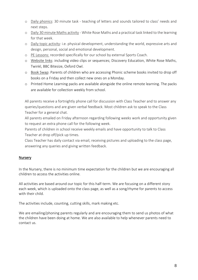- o Daily phonics: 30 minute task teaching of letters and sounds tailored to class' needs and next steps.
- o Daily 30 minute Maths activity White Rose Maths and a practical task linked to the learning for that week.
- o Daily topic activity: i.e. physical development, understanding the world, expressive arts and design, personal, social and emotional development.
- o PE Lessons: recorded specifically for our school by external Sports Coach.
- o Website links: including video clips or sequences; Discovery Education, White Rose Maths, Twinkl, BBC Bitesize, Oxford Owl.
- o Book Swap: Parents of children who are accessing Phonic scheme books invited to drop off books on a Friday and then collect new ones on a Monday.
- o Printed Home Learning packs are available alongside the online remote learning. The packs are available for collection weekly from school.

All parents receive a fortnightly phone call for discussion with Class Teacher and to answer any queries/questions and are given verbal feedback. Most children ask to speak to the Class Teacher for a general chat.

All parents emailed on Friday afternoon regarding following weeks work and opportunity given to request an extra phone call for the following week.

Parents of children in school receive weekly emails and have opportunity to talk to Class Teacher at drop off/pick up times.

Class Teacher has daily contact via email, receiving pictures and uploading to the class page, answering any queries and giving written feedback.

#### Nursery

In the Nursery, there is no minimum time expectation for the children but we are encouraging all children to access the activities online.

All activities are based around our topic for this half-term. We are focusing on a different story each week, which is uploaded onto the class page, as well as a song/rhyme for parents to access with their child.

The activities include, counting, cutting skills, mark making etc.

We are emailing/phoning parents regularly and are encouraging them to send us photos of what the children have been doing at home. We are also available to help whenever parents need to contact us.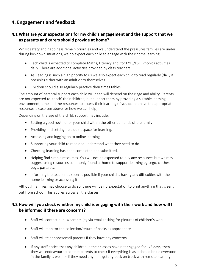# **4. Engagement and feedback**

#### **4.1 What are your expectations for my child's engagement and the support that we as parents and carers should provide at home?**

Whilst safety and happiness remain priorities and we understand the pressures families are under during lockdown situations, we do expect each child to engage with their home learning.

- Each child is expected to complete Maths, Literacy and, for EYFS/KS1, Phonics activities daily. There are additional activities provided by class teachers.
- As Reading is such a high priority to us we also expect each child to read regularly (daily if possible) either with an adult or to themselves.
- Children should also regularly practice their times tables.

The amount of parental support each child will need will depend on their age and ability. Parents are not expected to 'teach' their children, but support them by providing a suitable learning environment, time and the resources to access their learning (if you do not have the appropriate resources please see above for how we can help).

Depending on the age of the child, support may include:

- Setting a good routine for your child within the other demands of the family.
- Providing and setting up a quiet space for learning.
- Accessing and logging on to online learning.
- Supporting your child to read and understand what they need to do.
- Checking learning has been completed and submitted.
- Helping find simple resources. You will not be expected to buy any resources but we may suggest using resources commonly found at home to support learning eg Lego, clothes pegs, pasta etc.
- Informing the teacher as soon as possible if your child is having any difficulties with the home learning or accessing it.

Although families may choose to do so, there will be no expectation to print anything that is sent out from school. This applies across all the classes.

#### **4.2 How will you check whether my child is engaging with their work and how will I be informed if there are concerns?**

- Staff will contact pupils/parents (eg via email) asking for pictures of children's work.
- Staff will monitor the collection/return of packs as appropriate.
- Staff will telephone/email parents if they have any concerns.
- If any staff notice that any children in their classes have not engaged for 1/2 days, then they will endeavour to contact parents to check if everything is as it should be (ie everyone in the family is well) or if they need any help getting back on track with remote learning.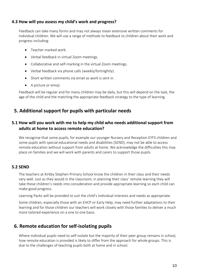#### **4.3 How will you assess my child's work and progress?**

Feedback can take many forms and may not always mean extensive written comments for individual children. We will use a range of methods to feedback to children about their work and progress including:

- Teacher marked work.
- Verbal feedback in virtual Zoom meetings.
- Collaborative and self-marking in the virtual Zoom meetings.
- Verbal feedback via phone calls (weekly/fortnightly).
- Short written comments via email as work is sent in.
- A picture or emoji.

Feedback will be regular and for many children may be daily, but this will depend on the task, the age of the child and the matching the appropriate feedback strategy to the type of learning.

## **5. Additional support for pupils with particular needs**

#### **5.1 How will you work with me to help my child who needs additional support from adults at home to access remote education?**

We recognise that some pupils, for example our younger Nursery and Reception EYFS children and some pupils with special educational needs and disabilities (SEND), may not be able to access remote education without support from adults at home. We acknowledge the difficulties this may place on families and we will work with parents and carers to support those pupils.

#### **5.2 SEND**

The teachers at Kirkby Stephen Primary School know the children in their class and their needs very well. Just as they would in the classroom, in planning their class' remote learning they will take these children's needs into consideration and provide appropriate learning so each child can make good progress.

Learning Packs will be provided to suit the child's individual interests and needs as appropriate.

Some children, especially those with an EHCP or Early Help, may need further adaptations to their learning and for those children our teachers will work closely with those families to deliver a much more tailored experience on a one to one basis.

#### **6. Remote education for self-isolating pupils**

Where individual pupils need to self-isolate but the majority of their peer group remains in school, how remote education is provided is likely to differ from the approach for whole groups. This is due to the challenges of teaching pupils both at home and in school.